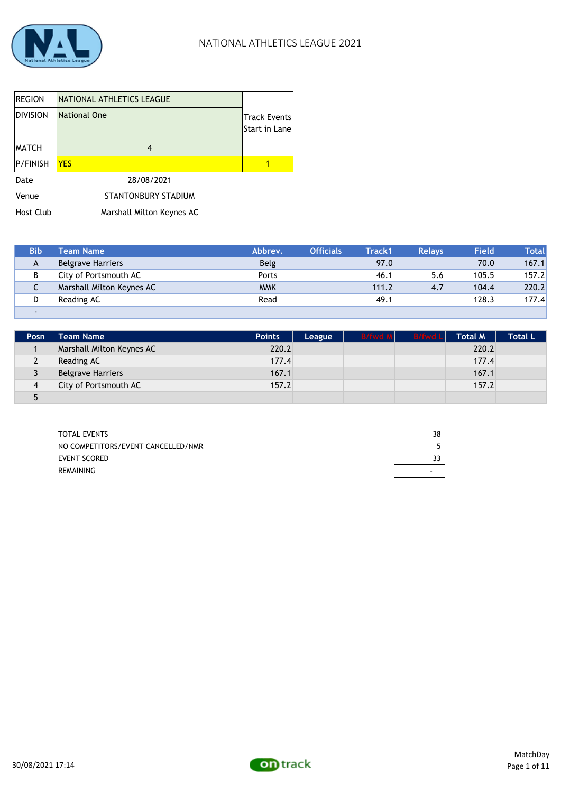

I

| <b>REGION</b>    | NATIONAL ATHLETICS LEAGUE |                     |
|------------------|---------------------------|---------------------|
| <b>DIVISION</b>  | National One              | <b>Track Events</b> |
|                  |                           | Start in Lane       |
| <b>MATCH</b>     | 4                         |                     |
| <b>P/FINISH</b>  | <b>YES</b>                |                     |
| Date             | 28/08/2021                |                     |
| Venue            | STANTONBURY STADIUM       |                     |
| <b>Host Club</b> | Marshall Milton Keynes AC |                     |

| <b>Bib</b> | Team Name                 | Abbrev.     | <b>Officials</b> | Track1 | <b>Relavs</b> | <b>Field</b> | Totall |
|------------|---------------------------|-------------|------------------|--------|---------------|--------------|--------|
| A          | <b>Belgrave Harriers</b>  | <b>Belg</b> |                  | 97.0   |               | 70.0         | 167.1  |
| В          | City of Portsmouth AC     | Ports       |                  | 46.1   | 5.6           | 105.5        | 157.2  |
| ◡          | Marshall Milton Keynes AC | <b>MMK</b>  |                  | 111.2  | 4.7           | 104.4        | 220.2  |
| D          | Reading AC                | Read        |                  | 49.1   |               | 128.3        | 177.4  |
| -          |                           |             |                  |        |               |              |        |

| Posn | <b>Team Name</b>          | <b>Points</b> | League | <b>B/fwd M</b> | <b>B/fwd Ll</b> | <b>Total M</b> | <b>Total L</b> |
|------|---------------------------|---------------|--------|----------------|-----------------|----------------|----------------|
|      | Marshall Milton Keynes AC | 220.2         |        |                |                 | 220.2          |                |
|      | Reading AC                | 177.4         |        |                |                 | 177.4          |                |
|      | <b>Belgrave Harriers</b>  | 167.1         |        |                |                 | 167.1          |                |
|      | City of Portsmouth AC     | 157.2         |        |                |                 | 157.2          |                |
|      |                           |               |        |                |                 |                |                |

| <b>TOTAL EVENTS</b>                | 38 |
|------------------------------------|----|
| NO COMPETITORS/EVENT CANCELLED/NMR |    |
| <b>EVENT SCORED</b>                |    |
| REMAINING                          |    |
|                                    |    |

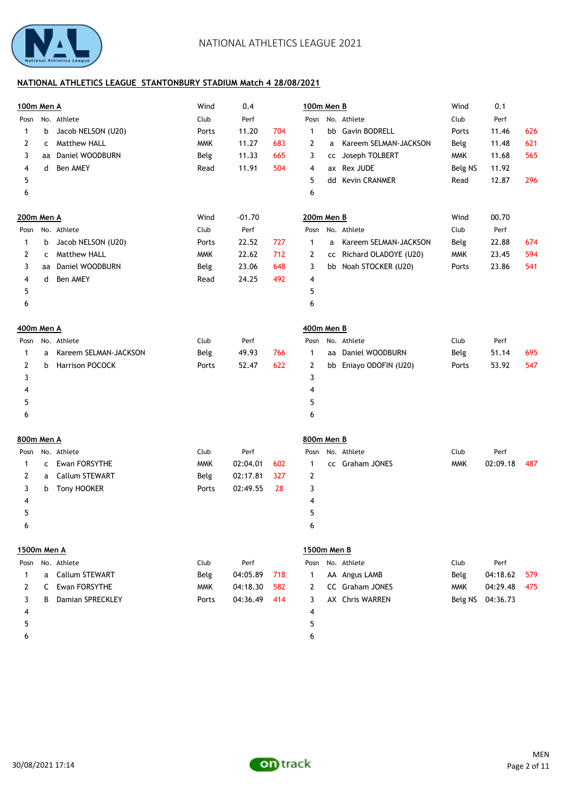

| 100m Men A  |    |                       | Wind       | 0.4      |     | 100m Men B   |   |                          | Wind       | 0.1      |     |
|-------------|----|-----------------------|------------|----------|-----|--------------|---|--------------------------|------------|----------|-----|
| Posn        |    | No. Athlete           | Club       | Perf     |     | Posn         |   | No. Athlete              | Club       | Perf     |     |
| 1           | b  | Jacob NELSON (U20)    | Ports      | 11.20    | 704 | 1            |   | bb Gavin BODRELL         | Ports      | 11.46    | 626 |
| 2           | c  | Matthew HALL          | <b>MMK</b> | 11.27    | 683 | 2            | a | Kareem SELMAN-JACKSON    | Belg       | 11.48    | 621 |
| 3           | aa | Daniel WOODBURN       | Belg       | 11.33    | 665 | 3            |   | cc Joseph TOLBERT        | <b>MMK</b> | 11.68    | 565 |
| 4           | d  | Ben AMEY              | Read       | 11.91    | 504 | 4            |   | ax Rex JUDE              | Belg NS    | 11.92    |     |
| 5           |    |                       |            |          |     | 5            |   | dd Kevin CRANMER         | Read       | 12.87    | 296 |
| 6           |    |                       |            |          |     | 6            |   |                          |            |          |     |
| 200m Men A  |    |                       | Wind       | $-01.70$ |     | 200m Men B   |   |                          | Wind       | 00.70    |     |
| Posn        |    | No. Athlete           | Club       | Perf     |     |              |   | Posn No. Athlete         | Club       | Perf     |     |
| 1           | b  | Jacob NELSON (U20)    | Ports      | 22.52    | 727 | 1            | a | Kareem SELMAN-JACKSON    | Belg       | 22.88    | 674 |
| 2           | c  | Matthew HALL          | <b>MMK</b> | 22.62    | 712 | 2            |   | cc Richard OLADOYE (U20) | <b>MMK</b> | 23.45    | 594 |
| 3           | aa | Daniel WOODBURN       | Belg       | 23.06    | 648 | 3            |   | bb Noah STOCKER (U20)    | Ports      | 23.86    | 541 |
| 4           | d  | Ben AMEY              | Read       | 24.25    | 492 | 4            |   |                          |            |          |     |
| 5           |    |                       |            |          |     | 5            |   |                          |            |          |     |
| 6           |    |                       |            |          |     | 6            |   |                          |            |          |     |
| 400m Men A  |    |                       |            |          |     | 400m Men B   |   |                          |            |          |     |
| Posn        |    | No. Athlete           | Club       | Perf     |     |              |   | Posn No. Athlete         | Club       | Perf     |     |
| 1           | a  | Kareem SELMAN-JACKSON | Belg       | 49.93    | 766 | $\mathbf{1}$ |   | aa Daniel WOODBURN       | Belg       | 51.14    | 695 |
| 2           | b  | Harrison POCOCK       | Ports      | 52.47    | 622 | 2            |   | bb Eniayo ODOFIN (U20)   | Ports      | 53.92    | 547 |
| 3           |    |                       |            |          |     | 3            |   |                          |            |          |     |
| 4           |    |                       |            |          |     | 4            |   |                          |            |          |     |
| 5           |    |                       |            |          |     | 5            |   |                          |            |          |     |
| 6           |    |                       |            |          |     | 6            |   |                          |            |          |     |
| 800m Men A  |    |                       |            |          |     | 800m Men B   |   |                          |            |          |     |
| Posn        |    | No. Athlete           | Club       | Perf     |     | Posn         |   | No. Athlete              | Club       | Perf     |     |
| 1           | C  | Ewan FORSYTHE         | <b>MMK</b> | 02:04.01 | 602 | 1            |   | cc Graham JONES          | <b>MMK</b> | 02:09.18 | 487 |
| 2           | a  | Callum STEWART        | Belg       | 02:17.81 | 327 | 2            |   |                          |            |          |     |
| 3           | b  | Tony HOOKER           | Ports      | 02:49.55 | 28  | 3            |   |                          |            |          |     |
| 4           |    |                       |            |          |     | 4            |   |                          |            |          |     |
| 5           |    |                       |            |          |     | 5            |   |                          |            |          |     |
| 6           |    |                       |            |          |     | 6            |   |                          |            |          |     |
| 1500m Men A |    |                       |            |          |     | 1500m Men B  |   |                          |            |          |     |
| Posn        |    | No. Athlete           | Club       | Perf     |     | Posn         |   | No. Athlete              | Club       | Perf     |     |
| 1           | a  | Callum STEWART        | Belg       | 04:05.89 | 718 | 1            |   | AA Angus LAMB            | Belg       | 04:18.62 | 579 |
| 2           | C  | Ewan FORSYTHE         | <b>MMK</b> | 04:18.30 | 582 | 2            |   | CC Graham JONES          | <b>MMK</b> | 04:29.48 | 475 |
| 3           | B  | Damian SPRECKLEY      | Ports      | 04:36.49 | 414 | 3            |   | AX Chris WARREN          | Belg NS    | 04:36.73 |     |
| 4           |    |                       |            |          |     | 4            |   |                          |            |          |     |
| 5           |    |                       |            |          |     | 5            |   |                          |            |          |     |
| 6           |    |                       |            |          |     | 6            |   |                          |            |          |     |

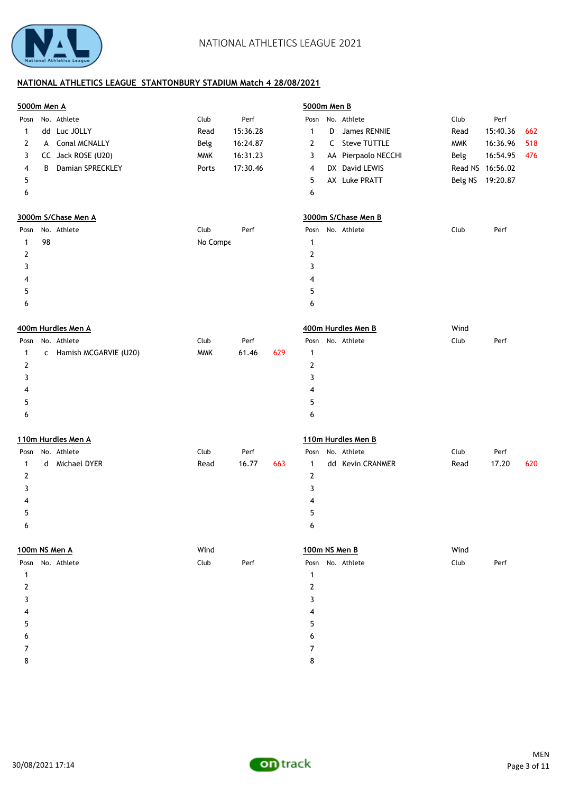

| No. Athlete<br>No. Athlete<br>Club<br>Perf<br>Club<br>Perf<br>Posn<br>Posn<br>dd Luc JOLLY<br>15:36.28<br>15:40.36<br>Read<br>$\mathbf{1}$<br>D<br>James RENNIE<br>Read<br>662<br>1<br>A Conal MCNALLY<br>C Steve TUTTLE<br>16:36.96<br>518<br>Belg<br>16:24.87<br>2<br><b>MMK</b><br>2<br>CC Jack ROSE (U20)<br>16:31.23<br>AA Pierpaolo NECCHI<br>16:54.95<br>3<br><b>MMK</b><br>3<br>Belg<br>476<br>Damian SPRECKLEY<br>17:30.46<br>DX David LEWIS<br>Read NS 16:56.02<br>B<br>4<br>Ports<br>4<br>AX Luke PRATT<br>Belg NS 19:20.87<br>5<br>5<br>6<br>6<br>3000m S/Chase Men B<br>3000m S/Chase Men A<br>No. Athlete<br>Posn No. Athlete<br>Club<br>Club<br>Perf<br>Perf<br>Posn<br>98<br>No Compe<br>$\mathbf{1}$<br>1<br>$\mathbf{2}$<br>2<br>3<br>3<br>4<br>4<br>5<br>5<br>6<br>6<br>400m Hurdles Men B<br>Wind<br>400m Hurdles Men A<br>No. Athlete<br>No. Athlete<br>Club<br>Club<br>Perf<br>Perf<br>Posn<br>Posn<br>c Hamish MCGARVIE (U20)<br><b>MMK</b><br>61.46<br>629<br>$\mathbf{1}$<br>1<br>2<br>2<br>3<br>3<br>4<br>4<br>5<br>5<br>6<br>6<br>110m Hurdles Men B<br>110m Hurdles Men A<br>Posn No. Athlete<br>Club<br>No. Athlete<br>Club<br>Perf<br>Posn<br>Perf<br>d Michael DYER<br>Read<br>16.77<br>663<br>dd Kevin CRANMER<br>Read<br>17.20<br>620<br>1<br>1<br>2<br>2<br>3<br>3<br>4<br>4<br>5<br>5<br>6<br>6<br>100m NS Men B<br>Wind<br>100m NS Men A<br>Wind<br>Posn No. Athlete<br>Club<br>Posn No. Athlete<br>Club<br>Perf<br>Perf<br>1<br>1<br>$\overline{2}$<br>2<br>3<br>3<br>4<br>5<br>5<br>6<br>7<br>7<br>8<br>8 | 5000m Men A |  |  | 5000m Men B |  |  |  |  |  |  |
|-------------------------------------------------------------------------------------------------------------------------------------------------------------------------------------------------------------------------------------------------------------------------------------------------------------------------------------------------------------------------------------------------------------------------------------------------------------------------------------------------------------------------------------------------------------------------------------------------------------------------------------------------------------------------------------------------------------------------------------------------------------------------------------------------------------------------------------------------------------------------------------------------------------------------------------------------------------------------------------------------------------------------------------------------------------------------------------------------------------------------------------------------------------------------------------------------------------------------------------------------------------------------------------------------------------------------------------------------------------------------------------------------------------------------------------------------------------------------------------------------------------------------------------------------|-------------|--|--|-------------|--|--|--|--|--|--|
|                                                                                                                                                                                                                                                                                                                                                                                                                                                                                                                                                                                                                                                                                                                                                                                                                                                                                                                                                                                                                                                                                                                                                                                                                                                                                                                                                                                                                                                                                                                                                 |             |  |  |             |  |  |  |  |  |  |
|                                                                                                                                                                                                                                                                                                                                                                                                                                                                                                                                                                                                                                                                                                                                                                                                                                                                                                                                                                                                                                                                                                                                                                                                                                                                                                                                                                                                                                                                                                                                                 |             |  |  |             |  |  |  |  |  |  |
|                                                                                                                                                                                                                                                                                                                                                                                                                                                                                                                                                                                                                                                                                                                                                                                                                                                                                                                                                                                                                                                                                                                                                                                                                                                                                                                                                                                                                                                                                                                                                 |             |  |  |             |  |  |  |  |  |  |
|                                                                                                                                                                                                                                                                                                                                                                                                                                                                                                                                                                                                                                                                                                                                                                                                                                                                                                                                                                                                                                                                                                                                                                                                                                                                                                                                                                                                                                                                                                                                                 |             |  |  |             |  |  |  |  |  |  |
|                                                                                                                                                                                                                                                                                                                                                                                                                                                                                                                                                                                                                                                                                                                                                                                                                                                                                                                                                                                                                                                                                                                                                                                                                                                                                                                                                                                                                                                                                                                                                 |             |  |  |             |  |  |  |  |  |  |
|                                                                                                                                                                                                                                                                                                                                                                                                                                                                                                                                                                                                                                                                                                                                                                                                                                                                                                                                                                                                                                                                                                                                                                                                                                                                                                                                                                                                                                                                                                                                                 |             |  |  |             |  |  |  |  |  |  |
|                                                                                                                                                                                                                                                                                                                                                                                                                                                                                                                                                                                                                                                                                                                                                                                                                                                                                                                                                                                                                                                                                                                                                                                                                                                                                                                                                                                                                                                                                                                                                 |             |  |  |             |  |  |  |  |  |  |
|                                                                                                                                                                                                                                                                                                                                                                                                                                                                                                                                                                                                                                                                                                                                                                                                                                                                                                                                                                                                                                                                                                                                                                                                                                                                                                                                                                                                                                                                                                                                                 |             |  |  |             |  |  |  |  |  |  |
|                                                                                                                                                                                                                                                                                                                                                                                                                                                                                                                                                                                                                                                                                                                                                                                                                                                                                                                                                                                                                                                                                                                                                                                                                                                                                                                                                                                                                                                                                                                                                 |             |  |  |             |  |  |  |  |  |  |
|                                                                                                                                                                                                                                                                                                                                                                                                                                                                                                                                                                                                                                                                                                                                                                                                                                                                                                                                                                                                                                                                                                                                                                                                                                                                                                                                                                                                                                                                                                                                                 |             |  |  |             |  |  |  |  |  |  |
|                                                                                                                                                                                                                                                                                                                                                                                                                                                                                                                                                                                                                                                                                                                                                                                                                                                                                                                                                                                                                                                                                                                                                                                                                                                                                                                                                                                                                                                                                                                                                 |             |  |  |             |  |  |  |  |  |  |
|                                                                                                                                                                                                                                                                                                                                                                                                                                                                                                                                                                                                                                                                                                                                                                                                                                                                                                                                                                                                                                                                                                                                                                                                                                                                                                                                                                                                                                                                                                                                                 |             |  |  |             |  |  |  |  |  |  |
|                                                                                                                                                                                                                                                                                                                                                                                                                                                                                                                                                                                                                                                                                                                                                                                                                                                                                                                                                                                                                                                                                                                                                                                                                                                                                                                                                                                                                                                                                                                                                 |             |  |  |             |  |  |  |  |  |  |
|                                                                                                                                                                                                                                                                                                                                                                                                                                                                                                                                                                                                                                                                                                                                                                                                                                                                                                                                                                                                                                                                                                                                                                                                                                                                                                                                                                                                                                                                                                                                                 |             |  |  |             |  |  |  |  |  |  |
|                                                                                                                                                                                                                                                                                                                                                                                                                                                                                                                                                                                                                                                                                                                                                                                                                                                                                                                                                                                                                                                                                                                                                                                                                                                                                                                                                                                                                                                                                                                                                 |             |  |  |             |  |  |  |  |  |  |
|                                                                                                                                                                                                                                                                                                                                                                                                                                                                                                                                                                                                                                                                                                                                                                                                                                                                                                                                                                                                                                                                                                                                                                                                                                                                                                                                                                                                                                                                                                                                                 |             |  |  |             |  |  |  |  |  |  |
|                                                                                                                                                                                                                                                                                                                                                                                                                                                                                                                                                                                                                                                                                                                                                                                                                                                                                                                                                                                                                                                                                                                                                                                                                                                                                                                                                                                                                                                                                                                                                 |             |  |  |             |  |  |  |  |  |  |
|                                                                                                                                                                                                                                                                                                                                                                                                                                                                                                                                                                                                                                                                                                                                                                                                                                                                                                                                                                                                                                                                                                                                                                                                                                                                                                                                                                                                                                                                                                                                                 |             |  |  |             |  |  |  |  |  |  |
|                                                                                                                                                                                                                                                                                                                                                                                                                                                                                                                                                                                                                                                                                                                                                                                                                                                                                                                                                                                                                                                                                                                                                                                                                                                                                                                                                                                                                                                                                                                                                 |             |  |  |             |  |  |  |  |  |  |
|                                                                                                                                                                                                                                                                                                                                                                                                                                                                                                                                                                                                                                                                                                                                                                                                                                                                                                                                                                                                                                                                                                                                                                                                                                                                                                                                                                                                                                                                                                                                                 |             |  |  |             |  |  |  |  |  |  |
|                                                                                                                                                                                                                                                                                                                                                                                                                                                                                                                                                                                                                                                                                                                                                                                                                                                                                                                                                                                                                                                                                                                                                                                                                                                                                                                                                                                                                                                                                                                                                 |             |  |  |             |  |  |  |  |  |  |
|                                                                                                                                                                                                                                                                                                                                                                                                                                                                                                                                                                                                                                                                                                                                                                                                                                                                                                                                                                                                                                                                                                                                                                                                                                                                                                                                                                                                                                                                                                                                                 |             |  |  |             |  |  |  |  |  |  |
|                                                                                                                                                                                                                                                                                                                                                                                                                                                                                                                                                                                                                                                                                                                                                                                                                                                                                                                                                                                                                                                                                                                                                                                                                                                                                                                                                                                                                                                                                                                                                 |             |  |  |             |  |  |  |  |  |  |
|                                                                                                                                                                                                                                                                                                                                                                                                                                                                                                                                                                                                                                                                                                                                                                                                                                                                                                                                                                                                                                                                                                                                                                                                                                                                                                                                                                                                                                                                                                                                                 |             |  |  |             |  |  |  |  |  |  |
|                                                                                                                                                                                                                                                                                                                                                                                                                                                                                                                                                                                                                                                                                                                                                                                                                                                                                                                                                                                                                                                                                                                                                                                                                                                                                                                                                                                                                                                                                                                                                 |             |  |  |             |  |  |  |  |  |  |
|                                                                                                                                                                                                                                                                                                                                                                                                                                                                                                                                                                                                                                                                                                                                                                                                                                                                                                                                                                                                                                                                                                                                                                                                                                                                                                                                                                                                                                                                                                                                                 |             |  |  |             |  |  |  |  |  |  |
|                                                                                                                                                                                                                                                                                                                                                                                                                                                                                                                                                                                                                                                                                                                                                                                                                                                                                                                                                                                                                                                                                                                                                                                                                                                                                                                                                                                                                                                                                                                                                 |             |  |  |             |  |  |  |  |  |  |
|                                                                                                                                                                                                                                                                                                                                                                                                                                                                                                                                                                                                                                                                                                                                                                                                                                                                                                                                                                                                                                                                                                                                                                                                                                                                                                                                                                                                                                                                                                                                                 |             |  |  |             |  |  |  |  |  |  |
|                                                                                                                                                                                                                                                                                                                                                                                                                                                                                                                                                                                                                                                                                                                                                                                                                                                                                                                                                                                                                                                                                                                                                                                                                                                                                                                                                                                                                                                                                                                                                 |             |  |  |             |  |  |  |  |  |  |
|                                                                                                                                                                                                                                                                                                                                                                                                                                                                                                                                                                                                                                                                                                                                                                                                                                                                                                                                                                                                                                                                                                                                                                                                                                                                                                                                                                                                                                                                                                                                                 |             |  |  |             |  |  |  |  |  |  |
|                                                                                                                                                                                                                                                                                                                                                                                                                                                                                                                                                                                                                                                                                                                                                                                                                                                                                                                                                                                                                                                                                                                                                                                                                                                                                                                                                                                                                                                                                                                                                 |             |  |  |             |  |  |  |  |  |  |
|                                                                                                                                                                                                                                                                                                                                                                                                                                                                                                                                                                                                                                                                                                                                                                                                                                                                                                                                                                                                                                                                                                                                                                                                                                                                                                                                                                                                                                                                                                                                                 |             |  |  |             |  |  |  |  |  |  |
|                                                                                                                                                                                                                                                                                                                                                                                                                                                                                                                                                                                                                                                                                                                                                                                                                                                                                                                                                                                                                                                                                                                                                                                                                                                                                                                                                                                                                                                                                                                                                 |             |  |  |             |  |  |  |  |  |  |
|                                                                                                                                                                                                                                                                                                                                                                                                                                                                                                                                                                                                                                                                                                                                                                                                                                                                                                                                                                                                                                                                                                                                                                                                                                                                                                                                                                                                                                                                                                                                                 |             |  |  |             |  |  |  |  |  |  |
|                                                                                                                                                                                                                                                                                                                                                                                                                                                                                                                                                                                                                                                                                                                                                                                                                                                                                                                                                                                                                                                                                                                                                                                                                                                                                                                                                                                                                                                                                                                                                 |             |  |  |             |  |  |  |  |  |  |
|                                                                                                                                                                                                                                                                                                                                                                                                                                                                                                                                                                                                                                                                                                                                                                                                                                                                                                                                                                                                                                                                                                                                                                                                                                                                                                                                                                                                                                                                                                                                                 |             |  |  |             |  |  |  |  |  |  |
|                                                                                                                                                                                                                                                                                                                                                                                                                                                                                                                                                                                                                                                                                                                                                                                                                                                                                                                                                                                                                                                                                                                                                                                                                                                                                                                                                                                                                                                                                                                                                 |             |  |  |             |  |  |  |  |  |  |
|                                                                                                                                                                                                                                                                                                                                                                                                                                                                                                                                                                                                                                                                                                                                                                                                                                                                                                                                                                                                                                                                                                                                                                                                                                                                                                                                                                                                                                                                                                                                                 |             |  |  |             |  |  |  |  |  |  |
|                                                                                                                                                                                                                                                                                                                                                                                                                                                                                                                                                                                                                                                                                                                                                                                                                                                                                                                                                                                                                                                                                                                                                                                                                                                                                                                                                                                                                                                                                                                                                 |             |  |  |             |  |  |  |  |  |  |
|                                                                                                                                                                                                                                                                                                                                                                                                                                                                                                                                                                                                                                                                                                                                                                                                                                                                                                                                                                                                                                                                                                                                                                                                                                                                                                                                                                                                                                                                                                                                                 |             |  |  |             |  |  |  |  |  |  |
|                                                                                                                                                                                                                                                                                                                                                                                                                                                                                                                                                                                                                                                                                                                                                                                                                                                                                                                                                                                                                                                                                                                                                                                                                                                                                                                                                                                                                                                                                                                                                 |             |  |  |             |  |  |  |  |  |  |

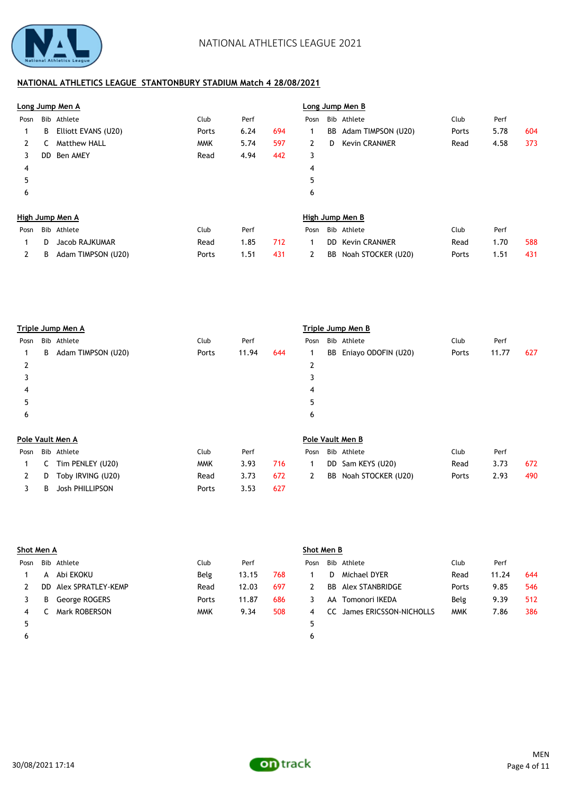

|      |    | Long Jump Men A     |            | Long Jump Men B |     |      |    |                      |       |      |     |
|------|----|---------------------|------------|-----------------|-----|------|----|----------------------|-------|------|-----|
| Posn |    | Bib Athlete         | Club       | Perf            |     | Posn |    | Bib Athlete          | Club  | Perf |     |
|      | В  | Elliott EVANS (U20) | Ports      | 6.24            | 694 | 1    | BB | Adam TIMPSON (U20)   | Ports | 5.78 | 604 |
| 2    |    | <b>Matthew HALL</b> | <b>MMK</b> | 5.74            | 597 | 2    | D  | <b>Kevin CRANMER</b> | Read  | 4.58 | 373 |
| 3    | DD | Ben AMEY            | Read       | 4.94            | 442 | 3    |    |                      |       |      |     |
| 4    |    |                     |            |                 |     | 4    |    |                      |       |      |     |
| 5    |    |                     |            |                 |     | 5    |    |                      |       |      |     |
| 6    |    |                     |            |                 |     | 6    |    |                      |       |      |     |
|      |    | High Jump Men A     |            |                 |     |      |    | High Jump Men B      |       |      |     |
| Posn |    | Bib Athlete         | Club       | Perf            |     | Posn |    | Bib Athlete          | Club  | Perf |     |
|      | D. | Jacob RAJKUMAR      | Read       | 1.85            | 712 | 1    | DD | <b>Kevin CRANMER</b> | Read  | 1.70 | 588 |
| 2    | В  | Adam TIMPSON (U20)  | Ports      | 1.51            | 431 | 2    | BB | Noah STOCKER (U20)   | Ports | 1.51 | 431 |

|      |   | Triple Jump Men A      |            | Triple Jump Men B |     |      |     |                     |       |       |     |
|------|---|------------------------|------------|-------------------|-----|------|-----|---------------------|-------|-------|-----|
| Posn |   | Bib Athlete            | Club       | Perf              |     | Posn |     | Bib Athlete         | Club  | Perf  |     |
|      | B | Adam TIMPSON (U20)     | Ports      | 11.94             | 644 | 1    | BB  | Eniayo ODOFIN (U20) | Ports | 11.77 | 627 |
| 2    |   |                        |            |                   |     | 2    |     |                     |       |       |     |
| 3    |   |                        |            |                   |     | 3    |     |                     |       |       |     |
| 4    |   |                        |            |                   |     | 4    |     |                     |       |       |     |
| 5    |   |                        |            |                   |     | 5    |     |                     |       |       |     |
| 6    |   |                        |            |                   |     | 6    |     |                     |       |       |     |
|      |   | Pole Vault Men A       |            |                   |     |      |     | Pole Vault Men B    |       |       |     |
| Posn |   | Bib Athlete            | Club       | Perf              |     | Posn |     | Bib Athlete         | Club  | Perf  |     |
|      |   | Tim PENLEY (U20)       | <b>MMK</b> | 3.93              | 716 | 1    | DD. | Sam KEYS (U20)      | Read  | 3.73  | 672 |
| 2    | D | Toby IRVING (U20)      | Read       | 3.73              | 672 | 2    | BB  | Noah STOCKER (U20)  | Ports | 2.93  | 490 |
| 3    | B | <b>Josh PHILLIPSON</b> | Ports      | 3.53              | 627 |      |     |                     |       |       |     |

|      | Shot Men A |                    |            |       |     | Shot Men B |     |                         |            |       |     |  |  |
|------|------------|--------------------|------------|-------|-----|------------|-----|-------------------------|------------|-------|-----|--|--|
| Posn |            | Bib Athlete        | Club       | Perf  |     | Posn       |     | Bib Athlete             | Club       | Perf  |     |  |  |
|      | A          | Abi EKOKU          | Belg       | 13.15 | 768 |            | D.  | Michael DYER            | Read       | 11.24 | 644 |  |  |
|      | DD.        | Alex SPRATLEY-KEMP | Read       | 12.03 | 697 | 2          |     | BB Alex STANBRIDGE      | Ports      | 9.85  | 546 |  |  |
|      | В          | George ROGERS      | Ports      | 11.87 | 686 |            |     | AA Tomonori IKEDA       | Belg       | 9.39  | 512 |  |  |
|      |            | Mark ROBERSON      | <b>MMK</b> | 9.34  | 508 | 4          | CC. | James ERICSSON-NICHOLLS | <b>MMK</b> | 7.86  | 386 |  |  |
|      |            |                    |            |       |     | 5          |     |                         |            |       |     |  |  |
| ь    |            |                    |            |       |     | 6          |     |                         |            |       |     |  |  |

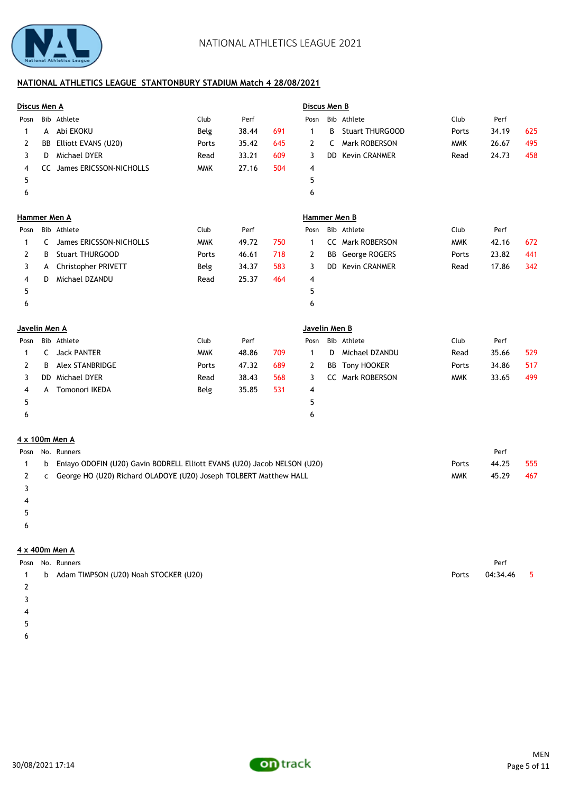

| Discus Men A  |           |                         |            |       |     | Discus Men B  |     |                        |            |       |     |
|---------------|-----------|-------------------------|------------|-------|-----|---------------|-----|------------------------|------------|-------|-----|
| Posn          |           | Bib Athlete             | Club       | Perf  |     | Posn          |     | Bib Athlete            | Club       | Perf  |     |
| 1             | A         | Abi EKOKU               | Belg       | 38.44 | 691 | 1             | B   | <b>Stuart THURGOOD</b> | Ports      | 34.19 | 625 |
| 2             | <b>BB</b> | Elliott EVANS (U20)     | Ports      | 35.42 | 645 | $\mathbf{2}$  | C   | <b>Mark ROBERSON</b>   | <b>MMK</b> | 26.67 | 495 |
| 3             | D         | Michael DYER            | Read       | 33.21 | 609 | 3             | DD  | <b>Kevin CRANMER</b>   | Read       | 24.73 | 458 |
| 4             | CC        | James ERICSSON-NICHOLLS | <b>MMK</b> | 27.16 | 504 | 4             |     |                        |            |       |     |
| 5             |           |                         |            |       |     | 5             |     |                        |            |       |     |
| 6             |           |                         |            |       |     | 6             |     |                        |            |       |     |
| Hammer Men A  |           |                         |            |       |     | Hammer Men B  |     |                        |            |       |     |
| Posn          |           | Bib Athlete             | Club       | Perf  |     | Posn          |     | Bib Athlete            | Club       | Perf  |     |
| 1             | C         | James ERICSSON-NICHOLLS | <b>MMK</b> | 49.72 | 750 | $\mathbf{1}$  | cc  | Mark ROBERSON          | <b>MMK</b> | 42.16 | 672 |
| 2             | B         | <b>Stuart THURGOOD</b>  | Ports      | 46.61 | 718 | 2             | BB  | George ROGERS          | Ports      | 23.82 | 441 |
| 3             | A         | Christopher PRIVETT     | Belg       | 34.37 | 583 | 3             | DD. | <b>Kevin CRANMER</b>   | Read       | 17.86 | 342 |
| 4             | D.        | Michael DZANDU          | Read       | 25.37 | 464 | 4             |     |                        |            |       |     |
| 5             |           |                         |            |       |     | 5             |     |                        |            |       |     |
| 6             |           |                         |            |       |     | 6             |     |                        |            |       |     |
| Javelin Men A |           |                         |            |       |     | Javelin Men B |     |                        |            |       |     |
| Posn          |           | Bib Athlete             | Club       | Perf  |     | Posn          |     | Bib Athlete            | Club       | Perf  |     |
| 1             | C         | <b>Jack PANTER</b>      | <b>MMK</b> | 48.86 | 709 | $\mathbf{1}$  | D.  | Michael DZANDU         | Read       | 35.66 | 529 |
| 2             | B         | <b>Alex STANBRIDGE</b>  | Ports      | 47.32 | 689 | 2             | BB  | Tony HOOKER            | Ports      | 34.86 | 517 |
| 3             | DD.       | Michael DYER            | Read       | 38.43 | 568 | 3             | cc  | Mark ROBERSON          | <b>MMK</b> | 33.65 | 499 |
| 4             | A         | <b>Tomonori IKEDA</b>   | Belg       | 35.85 | 531 | 4             |     |                        |            |       |     |
| 5             |           |                         |            |       |     | 5             |     |                        |            |       |     |
| 6             |           |                         |            |       |     | 6             |     |                        |            |       |     |
|               |           |                         |            |       |     |               |     |                        |            |       |     |

### **4 x 100m Men A**

|  | Posn No. Runners                                                           |       | Perf  |     |
|--|----------------------------------------------------------------------------|-------|-------|-----|
|  | b Eniayo ODOFIN (U20) Gavin BODRELL Elliott EVANS (U20) Jacob NELSON (U20) | Ports | 44.25 | 555 |
|  | 2 C George HO (U20) Richard OLADOYE (U20) Joseph TOLBERT Matthew HALL      | MMK   | 45.29 | 467 |

- 3
- 4
- $5\overline{ }$
- 
- $6\overline{ }$

# **4 x 400m Men A**

|  | Posn No. Runners                          | Perf             |  |
|--|-------------------------------------------|------------------|--|
|  | 1 b Adam TIMPSON (U20) Noah STOCKER (U20) | Ports 04:34.46 5 |  |

- 2
- 3 4
- 

 $5\overline{ }$  $6\overline{ }$ 

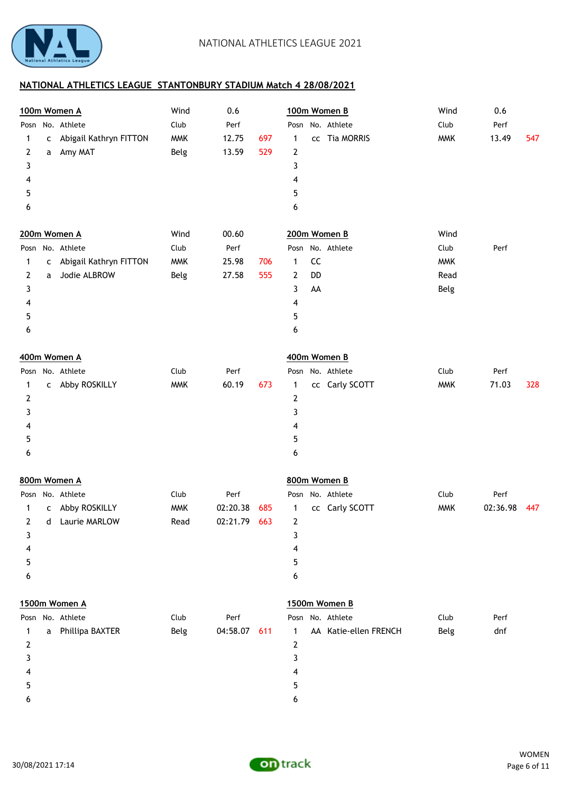

|      |   | 100m Women A             | Wind       | 0.6          |     | 100m Women B                   | Wind       | 0.6             |  |
|------|---|--------------------------|------------|--------------|-----|--------------------------------|------------|-----------------|--|
| Posn |   | No. Athlete              | Club       | Perf         |     | No. Athlete<br>Posn            | Club       | Perf            |  |
| 1    |   | c Abigail Kathryn FITTON | <b>MMK</b> | 12.75        | 697 | cc Tia MORRIS<br>1             | <b>MMK</b> | 13.49<br>547    |  |
| 2    | a | Amy MAT                  | Belg       | 13.59        | 529 | 2                              |            |                 |  |
| 3    |   |                          |            |              |     | 3                              |            |                 |  |
| 4    |   |                          |            |              |     | 4                              |            |                 |  |
| 5    |   |                          |            |              |     | 5                              |            |                 |  |
| 6    |   |                          |            |              |     | 6                              |            |                 |  |
|      |   | 200m Women A             | Wind       | 00.60        |     | 200m Women B                   | Wind       |                 |  |
| Posn |   | No. Athlete              | Club       | Perf         |     | Posn No. Athlete               | Club       | Perf            |  |
| 1    |   | c Abigail Kathryn FITTON | <b>MMK</b> | 25.98        | 706 | ${\sf CC}$<br>1                | <b>MMK</b> |                 |  |
| 2    | a | Jodie ALBROW             | Belg       | 27.58        | 555 | DD<br>2                        | Read       |                 |  |
| 3    |   |                          |            |              |     | AA<br>3                        | Belg       |                 |  |
| 4    |   |                          |            |              |     | 4                              |            |                 |  |
| 5    |   |                          |            |              |     | 5                              |            |                 |  |
| 6    |   |                          |            |              |     | 6                              |            |                 |  |
|      |   | 400m Women A             |            |              |     | 400m Women B                   |            |                 |  |
| Posn |   | No. Athlete              | Club       | Perf         |     | No. Athlete<br>Posn            | Club       | Perf            |  |
| 1    |   | c Abby ROSKILLY          | <b>MMK</b> | 60.19        | 673 | cc Carly SCOTT<br>$\mathbf{1}$ | <b>MMK</b> | 71.03<br>328    |  |
| 2    |   |                          |            |              |     | 2                              |            |                 |  |
| 3    |   |                          |            |              |     | 3                              |            |                 |  |
| 4    |   |                          |            |              |     | 4                              |            |                 |  |
| 5    |   |                          |            |              |     | 5                              |            |                 |  |
| 6    |   |                          |            |              |     | 6                              |            |                 |  |
|      |   | 800m Women A             |            |              |     | 800m Women B                   |            |                 |  |
|      |   | Posn No. Athlete         | Club       | Perf         |     | Posn No. Athlete               | Club       | Perf            |  |
| 1    | c | Abby ROSKILLY            | <b>MMK</b> | 02:20.38     | 685 | cc Carly SCOTT<br>1            | <b>MMK</b> | 02:36.98<br>447 |  |
| 2    |   | d Laurie MARLOW          | Read       | 02:21.79     | 663 | 2                              |            |                 |  |
| 3    |   |                          |            |              |     | 3                              |            |                 |  |
| 4    |   |                          |            |              |     | 4                              |            |                 |  |
| 5    |   |                          |            |              |     | 5                              |            |                 |  |
| 6    |   |                          |            |              |     | 6                              |            |                 |  |
|      |   | 1500m Women A            |            |              |     | 1500m Women B                  |            |                 |  |
|      |   | Posn No. Athlete         | Club       | Perf         |     | Posn No. Athlete               | Club       | Perf            |  |
| 1    | a | Phillipa BAXTER          | Belg       | 04:58.07 611 |     | AA Katie-ellen FRENCH<br>1     | Belg       | dnf             |  |
| 2    |   |                          |            |              |     | 2                              |            |                 |  |
| 3    |   |                          |            |              |     | 3                              |            |                 |  |
| 4    |   |                          |            |              |     | 4                              |            |                 |  |
| 5    |   |                          |            |              |     | 5                              |            |                 |  |
| 6    |   |                          |            |              |     | 6                              |            |                 |  |
|      |   |                          |            |              |     |                                |            |                 |  |

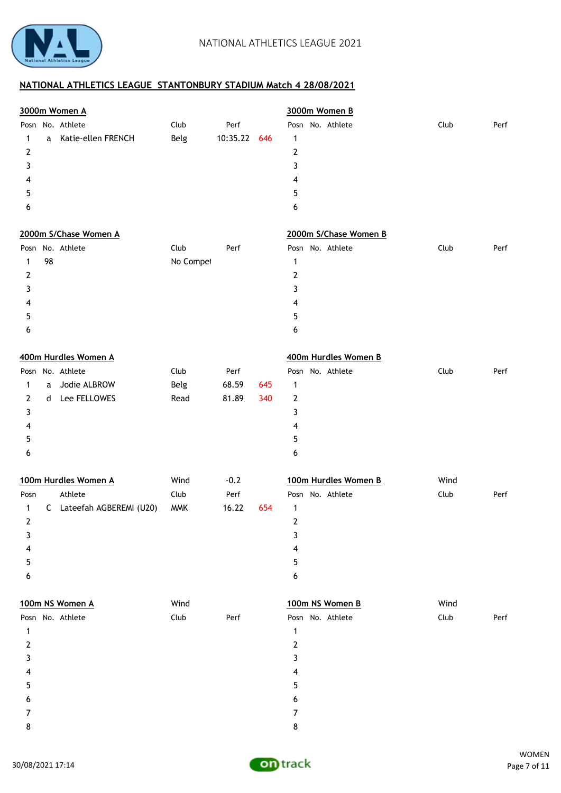

| 3000m Women A                |                                                                                                                                                                                                             |                                  |            | 3000m Women B                                                                                |                       |      |
|------------------------------|-------------------------------------------------------------------------------------------------------------------------------------------------------------------------------------------------------------|----------------------------------|------------|----------------------------------------------------------------------------------------------|-----------------------|------|
| Katie-ellen FRENCH           | Club<br>Belg                                                                                                                                                                                                | Perf<br>10:35.22                 | 646        | Posn No. Athlete<br>$\mathbf{1}$<br>$\mathbf{2}$<br>3<br>4<br>5<br>6                         | Club                  | Perf |
|                              |                                                                                                                                                                                                             |                                  |            | 2000m S/Chase Women B                                                                        |                       |      |
|                              | Club<br>No Compet                                                                                                                                                                                           | Perf                             |            | Posn No. Athlete<br>$\mathbf{1}$<br>$\mathbf{2}$<br>3<br>4<br>5<br>6                         | Club                  | Perf |
|                              |                                                                                                                                                                                                             |                                  |            | 400m Hurdles Women B                                                                         |                       |      |
| Jodie ALBROW<br>Lee FELLOWES | Club<br>Belg<br>Read<br>Wind                                                                                                                                                                                | Perf<br>68.59<br>81.89<br>$-0.2$ | 645<br>340 | Posn No. Athlete<br>1<br>2<br>3<br>4<br>5<br>6<br>100m Hurdles Women B                       | Club<br>Wind          | Perf |
|                              | <b>MMK</b>                                                                                                                                                                                                  | 16.22                            | 654        | 1<br>$\overline{2}$<br>3<br>4<br>5<br>6                                                      |                       | Perf |
|                              | Wind<br>Club                                                                                                                                                                                                | Perf                             |            | 100m NS Women B<br>Posn No. Athlete<br>$\mathbf{1}$<br>$\mathbf{2}$<br>3<br>4<br>5<br>6<br>7 | Wind<br>Club          | Perf |
| 98                           | No. Athlete<br>2000m S/Chase Women A<br>Posn No. Athlete<br>400m Hurdles Women A<br>Posn No. Athlete<br>100m Hurdles Women A<br>Athlete<br>C Lateefah AGBEREMI (U20)<br>100m NS Women A<br>Posn No. Athlete | Club                             | Perf       |                                                                                              | Posn No. Athlete<br>8 | Club |

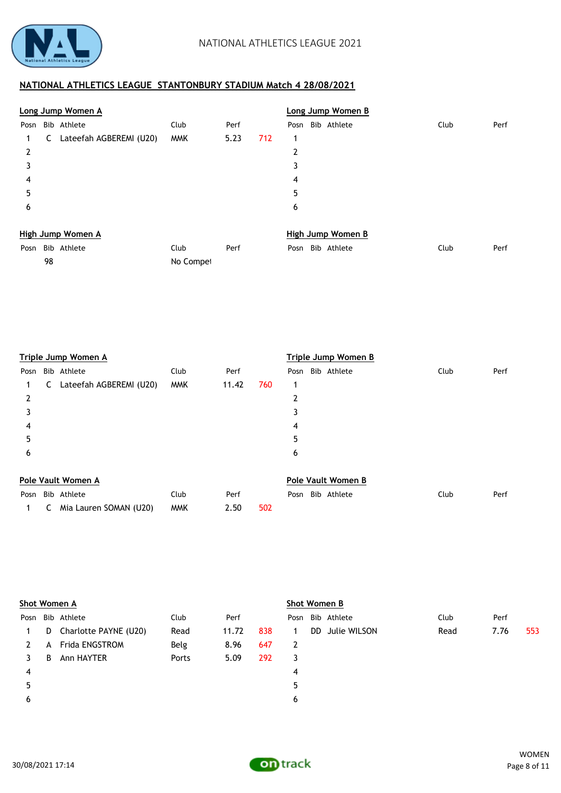

98 No Competitors Declared No Competitors Declared No Competitors Declared No Competitors Declared No Competitors Declared No Competitors Declared No Competitors Declared No Competitors Declared No Competitors Declared No

|      |   | Long Jump Women A       |            |      |     |      | Long Jump Women B |      |      |
|------|---|-------------------------|------------|------|-----|------|-------------------|------|------|
| Posn |   | Bib Athlete             | Club       | Perf |     | Posn | Bib Athlete       | Club | Perf |
|      | C | Lateefah AGBEREMI (U20) | <b>MMK</b> | 5.23 | 712 | 1    |                   |      |      |
| 2    |   |                         |            |      |     | 2    |                   |      |      |
| 3    |   |                         |            |      |     | 3    |                   |      |      |
| 4    |   |                         |            |      |     | 4    |                   |      |      |
| 5    |   |                         |            |      |     | 5    |                   |      |      |
| 6    |   |                         |            |      |     | 6    |                   |      |      |
|      |   | High Jump Women A       |            |      |     |      | High Jump Women B |      |      |
| Posn |   | Bib Athlete             | Club       | Perf |     | Posn | Bib Athlete       | Club | Perf |

|      |   | Triple Jump Women A     |            |       | Triple Jump Women B |                    |                  |      |      |  |  |
|------|---|-------------------------|------------|-------|---------------------|--------------------|------------------|------|------|--|--|
| Posn |   | Bib Athlete             | Club       | Perf  |                     |                    | Posn Bib Athlete | Club | Perf |  |  |
| 1.   | C | Lateefah AGBEREMI (U20) | <b>MMK</b> | 11.42 | 760                 |                    |                  |      |      |  |  |
| 2    |   |                         |            |       |                     | 2                  |                  |      |      |  |  |
|      |   |                         |            |       |                     | 3                  |                  |      |      |  |  |
| 4    |   |                         |            |       |                     | 4                  |                  |      |      |  |  |
| 5    |   |                         |            |       |                     | 5                  |                  |      |      |  |  |
| 6    |   |                         |            |       |                     | 6                  |                  |      |      |  |  |
|      |   | Pole Vault Women A      |            |       |                     | Pole Vault Women B |                  |      |      |  |  |

|  | Posn Bib Athlete               | Club | Perf |     |  | Posn Bib Athlete | Club | Perf |
|--|--------------------------------|------|------|-----|--|------------------|------|------|
|  | 1 C Mia Lauren SOMAN (U20) MMK |      | 2.50 | 502 |  |                  |      |      |

|      | Shot Women A |                       |       |       |     |   |     | Shot Women B     |      |      |     |  |  |  |  |
|------|--------------|-----------------------|-------|-------|-----|---|-----|------------------|------|------|-----|--|--|--|--|
| Posn |              | Bib Athlete           | Club  | Perf  |     |   |     | Posn Bib Athlete | Club | Perf |     |  |  |  |  |
| 1.   | D            | Charlotte PAYNE (U20) | Read  | 11.72 | 838 | 1 | DD. | Julie WILSON     | Read | 7.76 | 553 |  |  |  |  |
|      | A            | Frida ENGSTROM        | Belg  | 8.96  | 647 | 2 |     |                  |      |      |     |  |  |  |  |
|      | B            | Ann HAYTER            | Ports | 5.09  | 292 | 3 |     |                  |      |      |     |  |  |  |  |
| 4    |              |                       |       |       |     | 4 |     |                  |      |      |     |  |  |  |  |
| 5    |              |                       |       |       |     | 5 |     |                  |      |      |     |  |  |  |  |
| 6    |              |                       |       |       |     | 6 |     |                  |      |      |     |  |  |  |  |
|      |              |                       |       |       |     |   |     |                  |      |      |     |  |  |  |  |

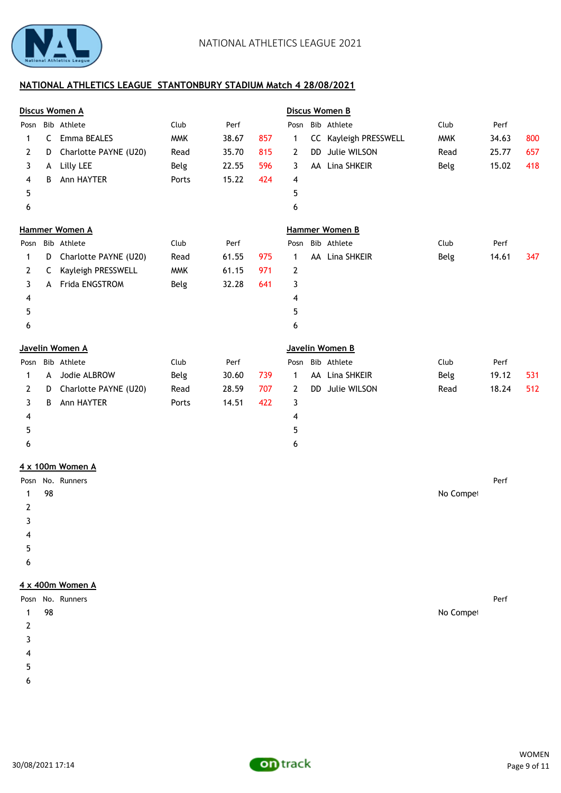

|      |    | Discus Women A         |            |       |     |              |           | Discus Women B        |            |       |     |
|------|----|------------------------|------------|-------|-----|--------------|-----------|-----------------------|------------|-------|-----|
| Posn |    | Bib Athlete            | Club       | Perf  |     |              |           | Posn Bib Athlete      | Club       | Perf  |     |
| 1    | C  | Emma BEALES            | <b>MMK</b> | 38.67 | 857 | $\mathbf{1}$ |           | CC Kayleigh PRESSWELL | <b>MMK</b> | 34.63 | 800 |
| 2    | D  | Charlotte PAYNE (U20)  | Read       | 35.70 | 815 | 2            | <b>DD</b> | Julie WILSON          | Read       | 25.77 | 657 |
| 3    | A  | Lilly LEE              | Belg       | 22.55 | 596 | 3            |           | AA Lina SHKEIR        | Belg       | 15.02 | 418 |
| 4    | B  | Ann HAYTER             | Ports      | 15.22 | 424 | 4            |           |                       |            |       |     |
| 5    |    |                        |            |       |     | 5            |           |                       |            |       |     |
| 6    |    |                        |            |       |     | 6            |           |                       |            |       |     |
|      |    | Hammer Women A         |            |       |     |              |           | <b>Hammer Women B</b> |            |       |     |
| Posn |    | Bib Athlete            | Club       | Perf  |     |              |           | Posn Bib Athlete      | Club       | Perf  |     |
| 1    | D  | Charlotte PAYNE (U20)  | Read       | 61.55 | 975 | $\mathbf 1$  |           | AA Lina SHKEIR        | Belg       | 14.61 | 347 |
| 2    | C  | Kayleigh PRESSWELL     | <b>MMK</b> | 61.15 | 971 | 2            |           |                       |            |       |     |
| 3    | A  | Frida ENGSTROM         | Belg       | 32.28 | 641 | 3            |           |                       |            |       |     |
| 4    |    |                        |            |       |     | 4            |           |                       |            |       |     |
| 5    |    |                        |            |       |     | 5            |           |                       |            |       |     |
| 6    |    |                        |            |       |     | 6            |           |                       |            |       |     |
|      |    | <u>Javelin Women A</u> |            |       |     |              |           | Javelin Women B       |            |       |     |
| Posn |    | Bib Athlete            | Club       | Perf  |     | Posn         |           | Bib Athlete           | Club       | Perf  |     |
| 1    | A  | Jodie ALBROW           | Belg       | 30.60 | 739 | 1            |           | AA Lina SHKEIR        | Belg       | 19.12 | 531 |
| 2    | D  | Charlotte PAYNE (U20)  | Read       | 28.59 | 707 | 2            | DD.       | Julie WILSON          | Read       | 18.24 | 512 |
| 3    | B  | Ann HAYTER             | Ports      | 14.51 | 422 | 3            |           |                       |            |       |     |
| 4    |    |                        |            |       |     | 4            |           |                       |            |       |     |
| 5    |    |                        |            |       |     | 5            |           |                       |            |       |     |
| 6    |    |                        |            |       |     | 6            |           |                       |            |       |     |
|      |    | 4 x 100m Women A       |            |       |     |              |           |                       |            |       |     |
| Posn |    | No. Runners            |            |       |     |              |           |                       |            | Perf  |     |
| 1    | 98 |                        |            |       |     |              |           |                       | No Compet  |       |     |
| 2    |    |                        |            |       |     |              |           |                       |            |       |     |

- 
- $5<sub>5</sub>$
- $\epsilon$

#### **4 x 400m Women A**

|   |    | Posn No. Runners |           | Perf |
|---|----|------------------|-----------|------|
|   | 98 |                  | No Compet |      |
| 2 |    |                  |           |      |
| 3 |    |                  |           |      |
| 4 |    |                  |           |      |
| 5 |    |                  |           |      |
| 6 |    |                  |           |      |

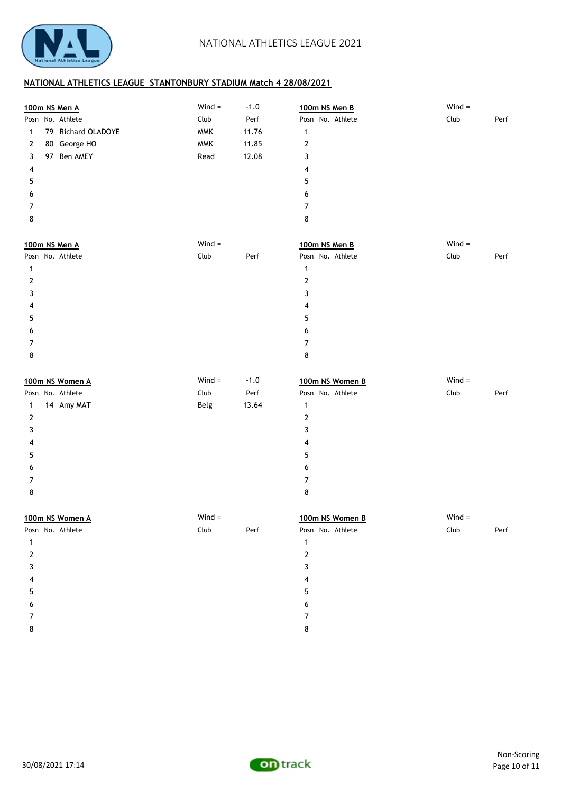

|              | 100m NS Men A      | $Wind =$   | $-1.0$ | 100m NS Men B    | $Wind =$ |      |
|--------------|--------------------|------------|--------|------------------|----------|------|
|              | Posn No. Athlete   | Club       | Perf   | Posn No. Athlete | Club     | Perf |
| 1            | 79 Richard OLADOYE | <b>MMK</b> | 11.76  | 1                |          |      |
| 2            | 80 George HO       | <b>MMK</b> | 11.85  | 2                |          |      |
| 3            | 97 Ben AMEY        | Read       | 12.08  | 3                |          |      |
| 4            |                    |            |        | 4                |          |      |
| 5            |                    |            |        | 5                |          |      |
| 6            |                    |            |        | 6                |          |      |
| 7            |                    |            |        | 7                |          |      |
| 8            |                    |            |        | 8                |          |      |
|              | 100m NS Men A      | $Wind =$   |        | 100m NS Men B    | $Wind =$ |      |
|              | Posn No. Athlete   | Club       | Perf   | Posn No. Athlete | Club     | Perf |
| $\mathbf{1}$ |                    |            |        | 1                |          |      |
| 2            |                    |            |        | $\mathbf 2$      |          |      |
| 3            |                    |            |        | 3                |          |      |
| 4            |                    |            |        | 4                |          |      |
| 5            |                    |            |        | 5                |          |      |
| 6            |                    |            |        | 6                |          |      |
| 7            |                    |            |        | 7                |          |      |
| 8            |                    |            |        | 8                |          |      |
|              | 100m NS Women A    | $Wind =$   | $-1.0$ | 100m NS Women B  | $Wind =$ |      |
|              | Posn No. Athlete   | Club       | Perf   | Posn No. Athlete | Club     | Perf |
| $\mathbf{1}$ | 14 Amy MAT         | Belg       | 13.64  | 1                |          |      |
| $\mathbf{2}$ |                    |            |        | $\mathbf{2}$     |          |      |
| 3            |                    |            |        | 3                |          |      |
| 4            |                    |            |        | 4                |          |      |
| 5            |                    |            |        | 5                |          |      |
| 6            |                    |            |        | 6                |          |      |
| 7            |                    |            |        | 7                |          |      |
| 8            |                    |            |        | 8                |          |      |
|              | 100m NS Women A    | $Wind =$   |        | 100m NS Women B  | $Wind =$ |      |
|              | Posn No. Athlete   | Club       | Perf   | Posn No. Athlete | Club     | Perf |
| $\mathbf{1}$ |                    |            |        | $\mathbf{1}$     |          |      |
| 2            |                    |            |        | 2                |          |      |
| 3            |                    |            |        | 3                |          |      |
| 4            |                    |            |        | 4                |          |      |
|              |                    |            |        |                  |          |      |
| 5            |                    |            |        | 5                |          |      |
| 6            |                    |            |        | 6                |          |      |
| 7            |                    |            |        | 7                |          |      |